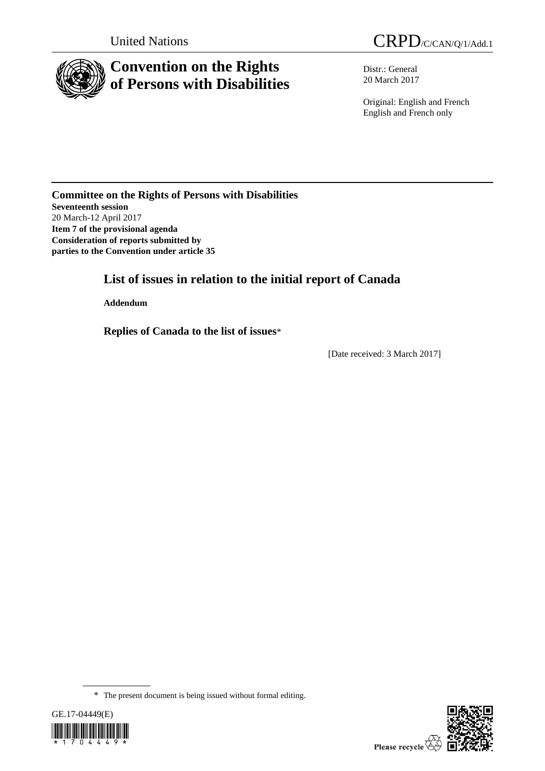

# **Convention on the Rights of Persons with Disabilities**

United Nations CRPD/C/CAN/Q/1/Add.1

Distr.: General 20 March 2017

Original: English and French English and French only

# **Committee on the Rights of Persons with Disabilities Seventeenth session** 20 March-12 April 2017 **Item 7 of the provisional agenda Consideration of reports submitted by parties to the Convention under article 35**

# **List of issues in relation to the initial report of Canada**

**Addendum**

**Replies of Canada to the list of issues**\*

[Date received: 3 March 2017]

<sup>\*</sup> The present document is being issued without formal editing.



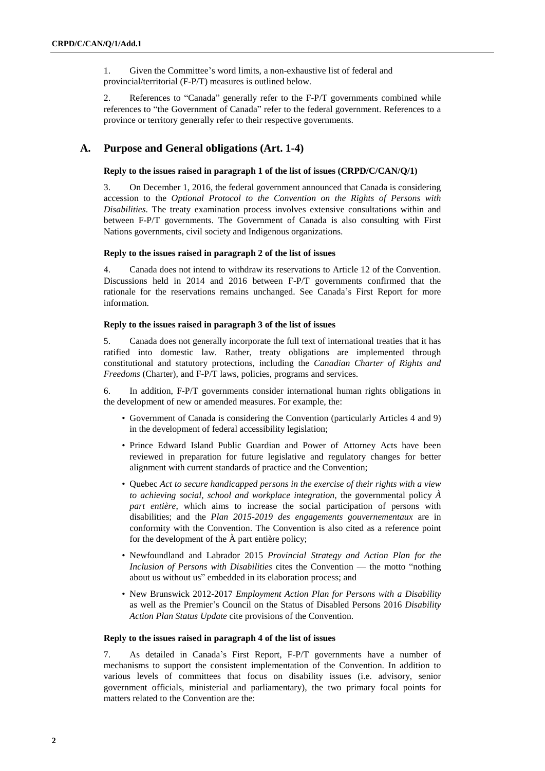1. Given the Committee's word limits, a non-exhaustive list of federal and provincial/territorial (F-P/T) measures is outlined below.

2. References to "Canada" generally refer to the F-P/T governments combined while references to "the Government of Canada" refer to the federal government. References to a province or territory generally refer to their respective governments.

# **A. Purpose and General obligations (Art. 1-4)**

#### **Reply to the issues raised in paragraph 1 of the list of issues (CRPD/C/CAN/Q/1)**

3. On December 1, 2016, the federal government announced that Canada is considering accession to the *Optional Protocol to the Convention on the Rights of Persons with Disabilities*. The treaty examination process involves extensive consultations within and between F-P/T governments. The Government of Canada is also consulting with First Nations governments, civil society and Indigenous organizations.

#### **Reply to the issues raised in paragraph 2 of the list of issues**

4. Canada does not intend to withdraw its reservations to Article 12 of the Convention. Discussions held in 2014 and 2016 between F-P/T governments confirmed that the rationale for the reservations remains unchanged. See Canada's First Report for more information.

# **Reply to the issues raised in paragraph 3 of the list of issues**

5. Canada does not generally incorporate the full text of international treaties that it has ratified into domestic law. Rather, treaty obligations are implemented through constitutional and statutory protections, including the *Canadian Charter of Rights and Freedoms* (Charter), and F-P/T laws, policies, programs and services.

6. In addition, F-P/T governments consider international human rights obligations in the development of new or amended measures. For example, the:

- Government of Canada is considering the Convention (particularly Articles 4 and 9) in the development of federal accessibility legislation;
- Prince Edward Island Public Guardian and Power of Attorney Acts have been reviewed in preparation for future legislative and regulatory changes for better alignment with current standards of practice and the Convention;
- Quebec *Act to secure handicapped persons in the exercise of their rights with a view to achieving social, school and workplace integration*, the governmental policy *À part entière*, which aims to increase the social participation of persons with disabilities; and the *Plan 2015-2019 des engagements gouvernementaux* are in conformity with the Convention. The Convention is also cited as a reference point for the development of the À part entière policy;
- Newfoundland and Labrador 2015 *Provincial Strategy and Action Plan for the Inclusion of Persons with Disabilities* cites the Convention — the motto "nothing about us without us" embedded in its elaboration process; and
- New Brunswick 2012-2017 *Employment Action Plan for Persons with a Disability* as well as the Premier's Council on the Status of Disabled Persons 2016 *Disability Action Plan Status Update* cite provisions of the Convention.

# **Reply to the issues raised in paragraph 4 of the list of issues**

7. As detailed in Canada's First Report, F-P/T governments have a number of mechanisms to support the consistent implementation of the Convention. In addition to various levels of committees that focus on disability issues (i.e. advisory, senior government officials, ministerial and parliamentary), the two primary focal points for matters related to the Convention are the: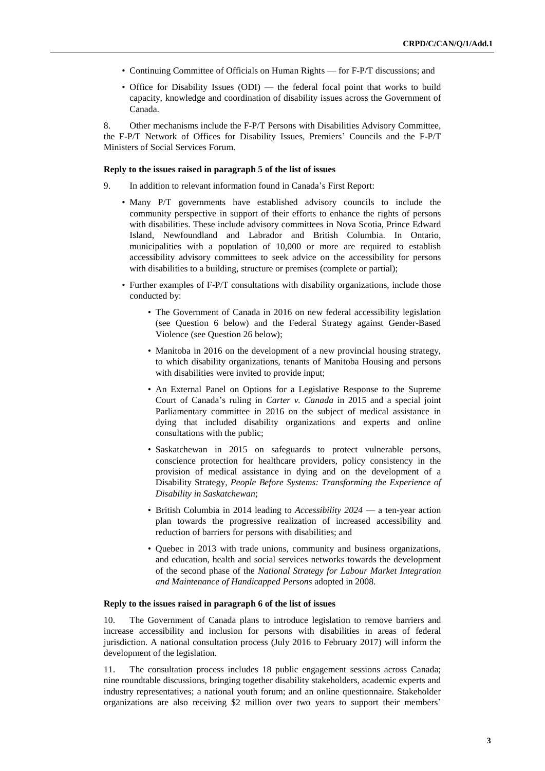- Continuing Committee of Officials on Human Rights for F-P/T discussions; and
- Office for Disability Issues (ODI) the federal focal point that works to build capacity, knowledge and coordination of disability issues across the Government of Canada.

8. Other mechanisms include the F-P/T Persons with Disabilities Advisory Committee, the F-P/T Network of Offices for Disability Issues, Premiers' Councils and the F-P/T Ministers of Social Services Forum.

#### **Reply to the issues raised in paragraph 5 of the list of issues**

- 9. In addition to relevant information found in Canada's First Report:
	- Many P/T governments have established advisory councils to include the community perspective in support of their efforts to enhance the rights of persons with disabilities. These include advisory committees in Nova Scotia, Prince Edward Island, Newfoundland and Labrador and British Columbia. In Ontario, municipalities with a population of 10,000 or more are required to establish accessibility advisory committees to seek advice on the accessibility for persons with disabilities to a building, structure or premises (complete or partial);
	- Further examples of F-P/T consultations with disability organizations, include those conducted by:
		- The Government of Canada in 2016 on new federal accessibility legislation (see Question 6 below) and the Federal Strategy against Gender-Based Violence (see Question 26 below);
		- Manitoba in 2016 on the development of a new provincial housing strategy, to which disability organizations, tenants of Manitoba Housing and persons with disabilities were invited to provide input;
		- An External Panel on Options for a Legislative Response to the Supreme Court of Canada's ruling in *Carter v. Canada* in 2015 and a special joint Parliamentary committee in 2016 on the subject of medical assistance in dying that included disability organizations and experts and online consultations with the public;
		- Saskatchewan in 2015 on safeguards to protect vulnerable persons, conscience protection for healthcare providers, policy consistency in the provision of medical assistance in dying and on the development of a Disability Strategy, *People Before Systems: Transforming the Experience of Disability in Saskatchewan*;
		- British Columbia in 2014 leading to *Accessibility 2024* a ten-year action plan towards the progressive realization of increased accessibility and reduction of barriers for persons with disabilities; and
		- Quebec in 2013 with trade unions, community and business organizations, and education, health and social services networks towards the development of the second phase of the *National Strategy for Labour Market Integration and Maintenance of Handicapped Persons* adopted in 2008.

#### **Reply to the issues raised in paragraph 6 of the list of issues**

10. The Government of Canada plans to introduce legislation to remove barriers and increase accessibility and inclusion for persons with disabilities in areas of federal jurisdiction. A national consultation process (July 2016 to February 2017) will inform the development of the legislation.

11. The consultation process includes 18 public engagement sessions across Canada; nine roundtable discussions, bringing together disability stakeholders, academic experts and industry representatives; a national youth forum; and an online questionnaire. Stakeholder organizations are also receiving \$2 million over two years to support their members'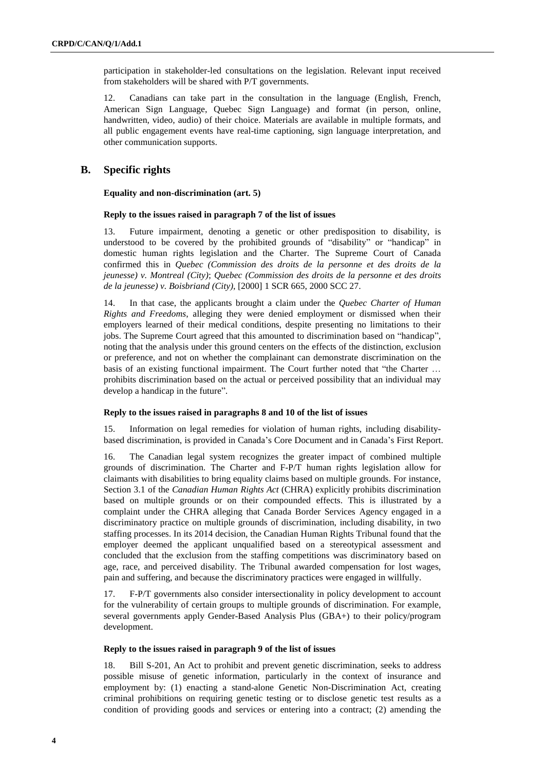participation in stakeholder-led consultations on the legislation. Relevant input received from stakeholders will be shared with P/T governments.

12. Canadians can take part in the consultation in the language (English, French, American Sign Language, Quebec Sign Language) and format (in person, online, handwritten, video, audio) of their choice. Materials are available in multiple formats, and all public engagement events have real-time captioning, sign language interpretation, and other communication supports.

# **B. Specific rights**

**Equality and non-discrimination (art. 5)**

# **Reply to the issues raised in paragraph 7 of the list of issues**

13. Future impairment, denoting a genetic or other predisposition to disability, is understood to be covered by the prohibited grounds of "disability" or "handicap" in domestic human rights legislation and the Charter. The Supreme Court of Canada confirmed this in *Quebec (Commission des droits de la personne et des droits de la jeunesse) v. Montreal (City)*; *Quebec (Commission des droits de la personne et des droits de la jeunesse) v. Boisbriand (City)*, [2000] 1 SCR 665, 2000 SCC 27.

14. In that case, the applicants brought a claim under the *Quebec Charter of Human Rights and Freedoms*, alleging they were denied employment or dismissed when their employers learned of their medical conditions, despite presenting no limitations to their jobs. The Supreme Court agreed that this amounted to discrimination based on "handicap", noting that the analysis under this ground centers on the effects of the distinction, exclusion or preference, and not on whether the complainant can demonstrate discrimination on the basis of an existing functional impairment. The Court further noted that "the Charter … prohibits discrimination based on the actual or perceived possibility that an individual may develop a handicap in the future".

#### **Reply to the issues raised in paragraphs 8 and 10 of the list of issues**

15. Information on legal remedies for violation of human rights, including disabilitybased discrimination, is provided in Canada's Core Document and in Canada's First Report.

16. The Canadian legal system recognizes the greater impact of combined multiple grounds of discrimination. The Charter and F-P/T human rights legislation allow for claimants with disabilities to bring equality claims based on multiple grounds. For instance, Section 3.1 of the *Canadian Human Rights Act* (CHRA) explicitly prohibits discrimination based on multiple grounds or on their compounded effects. This is illustrated by a complaint under the CHRA alleging that Canada Border Services Agency engaged in a discriminatory practice on multiple grounds of discrimination, including disability, in two staffing processes. In its 2014 decision, the Canadian Human Rights Tribunal found that the employer deemed the applicant unqualified based on a stereotypical assessment and concluded that the exclusion from the staffing competitions was discriminatory based on age, race, and perceived disability. The Tribunal awarded compensation for lost wages, pain and suffering, and because the discriminatory practices were engaged in willfully.

17. F-P/T governments also consider intersectionality in policy development to account for the vulnerability of certain groups to multiple grounds of discrimination. For example, several governments apply Gender-Based Analysis Plus (GBA+) to their policy/program development.

#### **Reply to the issues raised in paragraph 9 of the list of issues**

18. Bill S-201, An Act to prohibit and prevent genetic discrimination, seeks to address possible misuse of genetic information, particularly in the context of insurance and employment by: (1) enacting a stand-alone Genetic Non-Discrimination Act, creating criminal prohibitions on requiring genetic testing or to disclose genetic test results as a condition of providing goods and services or entering into a contract; (2) amending the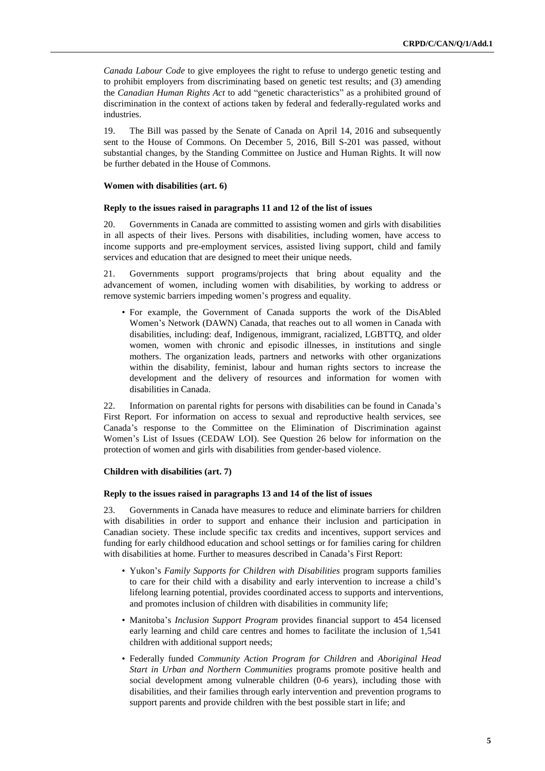*Canada Labour Code* to give employees the right to refuse to undergo genetic testing and to prohibit employers from discriminating based on genetic test results; and (3) amending the *Canadian Human Rights Act* to add "genetic characteristics" as a prohibited ground of discrimination in the context of actions taken by federal and federally-regulated works and industries.

19. The Bill was passed by the Senate of Canada on April 14, 2016 and subsequently sent to the House of Commons. On December 5, 2016, Bill S-201 was passed, without substantial changes, by the Standing Committee on Justice and Human Rights. It will now be further debated in the House of Commons.

### **Women with disabilities (art. 6)**

#### **Reply to the issues raised in paragraphs 11 and 12 of the list of issues**

20. Governments in Canada are committed to assisting women and girls with disabilities in all aspects of their lives. Persons with disabilities, including women, have access to income supports and pre-employment services, assisted living support, child and family services and education that are designed to meet their unique needs.

21. Governments support programs/projects that bring about equality and the advancement of women, including women with disabilities, by working to address or remove systemic barriers impeding women's progress and equality.

• For example, the Government of Canada supports the work of the DisAbled Women's Network (DAWN) Canada, that reaches out to all women in Canada with disabilities, including: deaf, Indigenous, immigrant, racialized, LGBTTQ, and older women, women with chronic and episodic illnesses, in institutions and single mothers. The organization leads, partners and networks with other organizations within the disability, feminist, labour and human rights sectors to increase the development and the delivery of resources and information for women with disabilities in Canada.

22. Information on parental rights for persons with disabilities can be found in Canada's First Report. For information on access to sexual and reproductive health services, see Canada's response to the Committee on the Elimination of Discrimination against Women's List of Issues (CEDAW LOI). See Question 26 below for information on the protection of women and girls with disabilities from gender-based violence.

#### **Children with disabilities (art. 7)**

#### **Reply to the issues raised in paragraphs 13 and 14 of the list of issues**

23. Governments in Canada have measures to reduce and eliminate barriers for children with disabilities in order to support and enhance their inclusion and participation in Canadian society. These include specific tax credits and incentives, support services and funding for early childhood education and school settings or for families caring for children with disabilities at home. Further to measures described in Canada's First Report:

- Yukon's *Family Supports for Children with Disabilities* program supports families to care for their child with a disability and early intervention to increase a child's lifelong learning potential, provides coordinated access to supports and interventions, and promotes inclusion of children with disabilities in community life;
- Manitoba's *Inclusion Support Program* provides financial support to 454 licensed early learning and child care centres and homes to facilitate the inclusion of 1,541 children with additional support needs;
- Federally funded *Community Action Program for Children* and *Aboriginal Head Start in Urban and Northern Communities* programs promote positive health and social development among vulnerable children (0-6 years), including those with disabilities, and their families through early intervention and prevention programs to support parents and provide children with the best possible start in life; and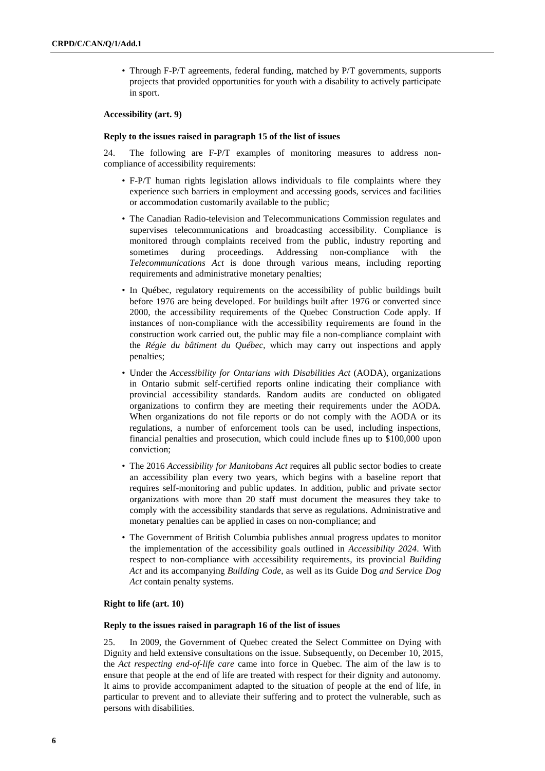• Through F-P/T agreements, federal funding, matched by P/T governments, supports projects that provided opportunities for youth with a disability to actively participate in sport.

#### **Accessibility (art. 9)**

## **Reply to the issues raised in paragraph 15 of the list of issues**

24. The following are F-P/T examples of monitoring measures to address noncompliance of accessibility requirements:

- F-P/T human rights legislation allows individuals to file complaints where they experience such barriers in employment and accessing goods, services and facilities or accommodation customarily available to the public;
- The Canadian Radio-television and Telecommunications Commission regulates and supervises telecommunications and broadcasting accessibility. Compliance is monitored through complaints received from the public, industry reporting and sometimes during proceedings. Addressing non-compliance with the *Telecommunications Act* is done through various means, including reporting requirements and administrative monetary penalties;
- In Québec, regulatory requirements on the accessibility of public buildings built before 1976 are being developed. For buildings built after 1976 or converted since 2000, the accessibility requirements of the Quebec Construction Code apply. If instances of non-compliance with the accessibility requirements are found in the construction work carried out, the public may file a non-compliance complaint with the *Régie du bâtiment du Québec*, which may carry out inspections and apply penalties;
- Under the *Accessibility for Ontarians with Disabilities Act* (AODA), organizations in Ontario submit self-certified reports online indicating their compliance with provincial accessibility standards. Random audits are conducted on obligated organizations to confirm they are meeting their requirements under the AODA. When organizations do not file reports or do not comply with the AODA or its regulations, a number of enforcement tools can be used, including inspections, financial penalties and prosecution, which could include fines up to \$100,000 upon conviction;
- The 2016 *Accessibility for Manitobans Act* requires all public sector bodies to create an accessibility plan every two years, which begins with a baseline report that requires self-monitoring and public updates. In addition, public and private sector organizations with more than 20 staff must document the measures they take to comply with the accessibility standards that serve as regulations. Administrative and monetary penalties can be applied in cases on non-compliance; and
- The Government of British Columbia publishes annual progress updates to monitor the implementation of the accessibility goals outlined in *Accessibility 2024*. With respect to non-compliance with accessibility requirements, its provincial *Building Act* and its accompanying *Building Code*, as well as its Guide Dog *and Service Dog Act* contain penalty systems.

# **Right to life (art. 10)**

#### **Reply to the issues raised in paragraph 16 of the list of issues**

25. In 2009, the Government of Quebec created the Select Committee on Dying with Dignity and held extensive consultations on the issue. Subsequently, on December 10, 2015, the *Act respecting end-of-life care* came into force in Quebec. The aim of the law is to ensure that people at the end of life are treated with respect for their dignity and autonomy. It aims to provide accompaniment adapted to the situation of people at the end of life, in particular to prevent and to alleviate their suffering and to protect the vulnerable, such as persons with disabilities.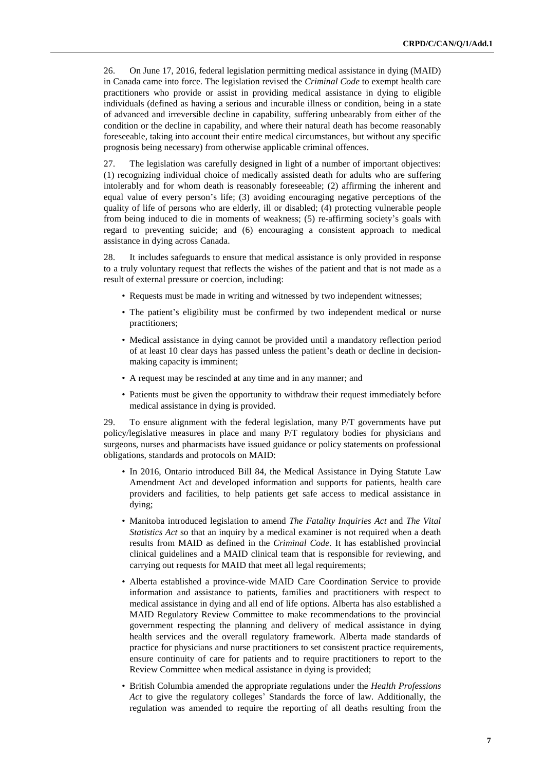26. On June 17, 2016, federal legislation permitting medical assistance in dying (MAID) in Canada came into force. The legislation revised the *Criminal Code* to exempt health care practitioners who provide or assist in providing medical assistance in dying to eligible individuals (defined as having a serious and incurable illness or condition, being in a state of advanced and irreversible decline in capability, suffering unbearably from either of the condition or the decline in capability, and where their natural death has become reasonably foreseeable, taking into account their entire medical circumstances, but without any specific prognosis being necessary) from otherwise applicable criminal offences.

27. The legislation was carefully designed in light of a number of important objectives: (1) recognizing individual choice of medically assisted death for adults who are suffering intolerably and for whom death is reasonably foreseeable; (2) affirming the inherent and equal value of every person's life; (3) avoiding encouraging negative perceptions of the quality of life of persons who are elderly, ill or disabled; (4) protecting vulnerable people from being induced to die in moments of weakness; (5) re-affirming society's goals with regard to preventing suicide; and (6) encouraging a consistent approach to medical assistance in dying across Canada.

28. It includes safeguards to ensure that medical assistance is only provided in response to a truly voluntary request that reflects the wishes of the patient and that is not made as a result of external pressure or coercion, including:

- Requests must be made in writing and witnessed by two independent witnesses;
- The patient's eligibility must be confirmed by two independent medical or nurse practitioners;
- Medical assistance in dying cannot be provided until a mandatory reflection period of at least 10 clear days has passed unless the patient's death or decline in decisionmaking capacity is imminent;
- A request may be rescinded at any time and in any manner; and
- Patients must be given the opportunity to withdraw their request immediately before medical assistance in dying is provided.

29. To ensure alignment with the federal legislation, many P/T governments have put policy/legislative measures in place and many P/T regulatory bodies for physicians and surgeons, nurses and pharmacists have issued guidance or policy statements on professional obligations, standards and protocols on MAID:

- In 2016, Ontario introduced Bill 84, the Medical Assistance in Dying Statute Law Amendment Act and developed information and supports for patients, health care providers and facilities, to help patients get safe access to medical assistance in dying;
- Manitoba introduced legislation to amend *The Fatality Inquiries Act* and *The Vital Statistics Act* so that an inquiry by a medical examiner is not required when a death results from MAID as defined in the *Criminal Code*. It has established provincial clinical guidelines and a MAID clinical team that is responsible for reviewing, and carrying out requests for MAID that meet all legal requirements;
- Alberta established a province-wide MAID Care Coordination Service to provide information and assistance to patients, families and practitioners with respect to medical assistance in dying and all end of life options. Alberta has also established a MAID Regulatory Review Committee to make recommendations to the provincial government respecting the planning and delivery of medical assistance in dying health services and the overall regulatory framework. Alberta made standards of practice for physicians and nurse practitioners to set consistent practice requirements, ensure continuity of care for patients and to require practitioners to report to the Review Committee when medical assistance in dying is provided;
- British Columbia amended the appropriate regulations under the *Health Professions Act* to give the regulatory colleges' Standards the force of law. Additionally, the regulation was amended to require the reporting of all deaths resulting from the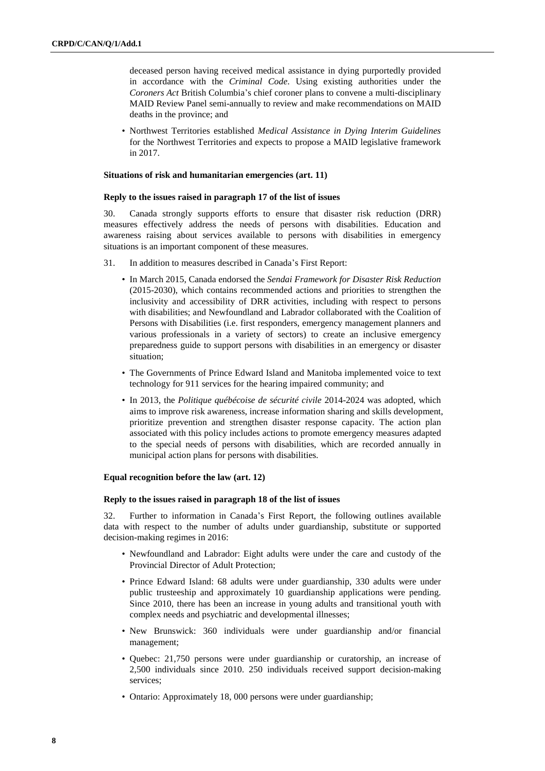deceased person having received medical assistance in dying purportedly provided in accordance with the *Criminal Code*. Using existing authorities under the *Coroners Act* British Columbia's chief coroner plans to convene a multi-disciplinary MAID Review Panel semi-annually to review and make recommendations on MAID deaths in the province; and

• Northwest Territories established *Medical Assistance in Dying Interim Guidelines* for the Northwest Territories and expects to propose a MAID legislative framework in 2017.

### **Situations of risk and humanitarian emergencies (art. 11)**

#### **Reply to the issues raised in paragraph 17 of the list of issues**

30. Canada strongly supports efforts to ensure that disaster risk reduction (DRR) measures effectively address the needs of persons with disabilities. Education and awareness raising about services available to persons with disabilities in emergency situations is an important component of these measures.

- 31. In addition to measures described in Canada's First Report:
	- In March 2015, Canada endorsed the *Sendai Framework for Disaster Risk Reduction* (2015-2030), which contains recommended actions and priorities to strengthen the inclusivity and accessibility of DRR activities, including with respect to persons with disabilities; and Newfoundland and Labrador collaborated with the Coalition of Persons with Disabilities (i.e. first responders, emergency management planners and various professionals in a variety of sectors) to create an inclusive emergency preparedness guide to support persons with disabilities in an emergency or disaster situation;
	- The Governments of Prince Edward Island and Manitoba implemented voice to text technology for 911 services for the hearing impaired community; and
	- In 2013, the *Politique québécoise de sécurité civile* 2014-2024 was adopted, which aims to improve risk awareness, increase information sharing and skills development, prioritize prevention and strengthen disaster response capacity. The action plan associated with this policy includes actions to promote emergency measures adapted to the special needs of persons with disabilities, which are recorded annually in municipal action plans for persons with disabilities.

#### **Equal recognition before the law (art. 12)**

#### **Reply to the issues raised in paragraph 18 of the list of issues**

32. Further to information in Canada's First Report, the following outlines available data with respect to the number of adults under guardianship, substitute or supported decision-making regimes in 2016:

- Newfoundland and Labrador: Eight adults were under the care and custody of the Provincial Director of Adult Protection;
- Prince Edward Island: 68 adults were under guardianship, 330 adults were under public trusteeship and approximately 10 guardianship applications were pending. Since 2010, there has been an increase in young adults and transitional youth with complex needs and psychiatric and developmental illnesses;
- New Brunswick: 360 individuals were under guardianship and/or financial management;
- Quebec: 21,750 persons were under guardianship or curatorship, an increase of 2,500 individuals since 2010. 250 individuals received support decision-making services;
- Ontario: Approximately 18, 000 persons were under guardianship;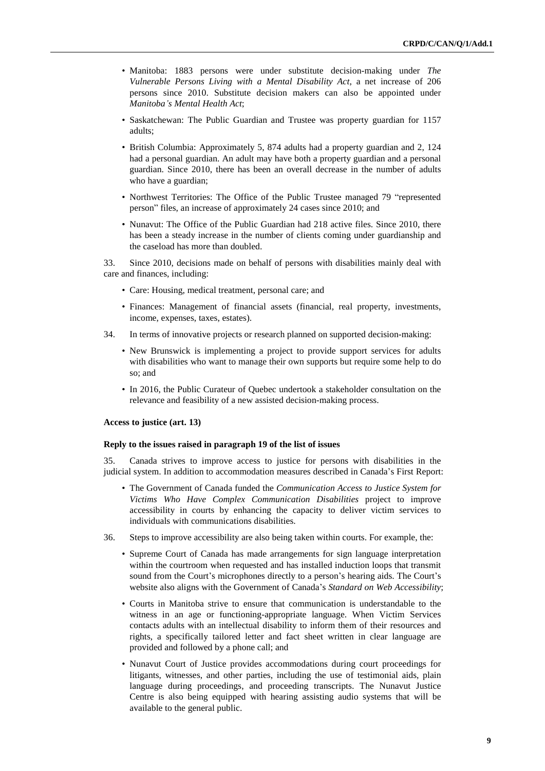- Manitoba: 1883 persons were under substitute decision-making under *The Vulnerable Persons Living with a Mental Disability Act*, a net increase of 206 persons since 2010. Substitute decision makers can also be appointed under *Manitoba's Mental Health Act*;
- Saskatchewan: The Public Guardian and Trustee was property guardian for 1157 adults;
- British Columbia: Approximately 5, 874 adults had a property guardian and 2, 124 had a personal guardian. An adult may have both a property guardian and a personal guardian. Since 2010, there has been an overall decrease in the number of adults who have a guardian;
- Northwest Territories: The Office of the Public Trustee managed 79 "represented person" files, an increase of approximately 24 cases since 2010; and
- Nunavut: The Office of the Public Guardian had 218 active files. Since 2010, there has been a steady increase in the number of clients coming under guardianship and the caseload has more than doubled.

33. Since 2010, decisions made on behalf of persons with disabilities mainly deal with care and finances, including:

- Care: Housing, medical treatment, personal care; and
- Finances: Management of financial assets (financial, real property, investments, income, expenses, taxes, estates).
- 34. In terms of innovative projects or research planned on supported decision-making:
	- New Brunswick is implementing a project to provide support services for adults with disabilities who want to manage their own supports but require some help to do so; and
	- In 2016, the Public Curateur of Quebec undertook a stakeholder consultation on the relevance and feasibility of a new assisted decision-making process.

#### **Access to justice (art. 13)**

#### **Reply to the issues raised in paragraph 19 of the list of issues**

35. Canada strives to improve access to justice for persons with disabilities in the judicial system. In addition to accommodation measures described in Canada's First Report:

- The Government of Canada funded the *Communication Access to Justice System for Victims Who Have Complex Communication Disabilities* project to improve accessibility in courts by enhancing the capacity to deliver victim services to individuals with communications disabilities.
- 36. Steps to improve accessibility are also being taken within courts. For example, the:
	- Supreme Court of Canada has made arrangements for sign language interpretation within the courtroom when requested and has installed induction loops that transmit sound from the Court's microphones directly to a person's hearing aids. The Court's website also aligns with the Government of Canada's *Standard on Web Accessibility*;
	- Courts in Manitoba strive to ensure that communication is understandable to the witness in an age or functioning-appropriate language. When Victim Services contacts adults with an intellectual disability to inform them of their resources and rights, a specifically tailored letter and fact sheet written in clear language are provided and followed by a phone call; and
	- Nunavut Court of Justice provides accommodations during court proceedings for litigants, witnesses, and other parties, including the use of testimonial aids, plain language during proceedings, and proceeding transcripts. The Nunavut Justice Centre is also being equipped with hearing assisting audio systems that will be available to the general public.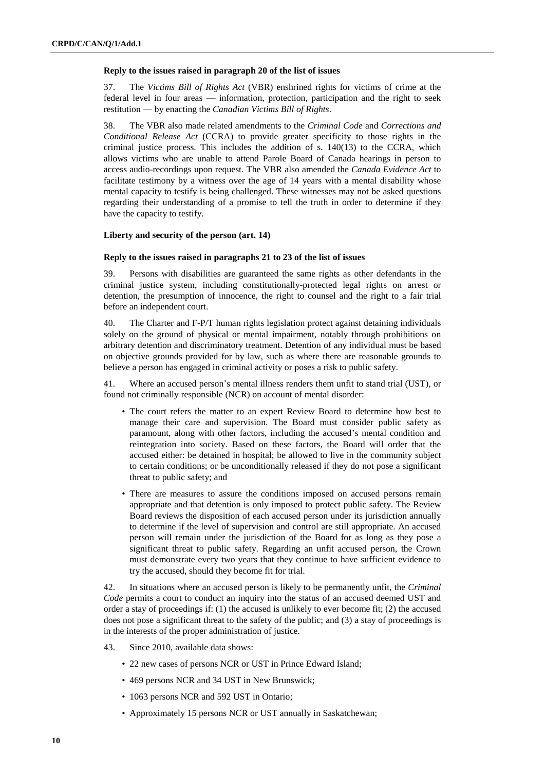#### **Reply to the issues raised in paragraph 20 of the list of issues**

37. The *Victims Bill of Rights Act* (VBR) enshrined rights for victims of crime at the federal level in four areas — information, protection, participation and the right to seek restitution — by enacting the *Canadian Victims Bill of Rights*.

38. The VBR also made related amendments to the *Criminal Code* and *Corrections and Conditional Release Act* (CCRA) to provide greater specificity to those rights in the criminal justice process. This includes the addition of s. 140(13) to the CCRA, which allows victims who are unable to attend Parole Board of Canada hearings in person to access audio-recordings upon request. The VBR also amended the *Canada Evidence Act* to facilitate testimony by a witness over the age of 14 years with a mental disability whose mental capacity to testify is being challenged. These witnesses may not be asked questions regarding their understanding of a promise to tell the truth in order to determine if they have the capacity to testify.

## **Liberty and security of the person (art. 14)**

## **Reply to the issues raised in paragraphs 21 to 23 of the list of issues**

39. Persons with disabilities are guaranteed the same rights as other defendants in the criminal justice system, including constitutionally-protected legal rights on arrest or detention, the presumption of innocence, the right to counsel and the right to a fair trial before an independent court.

40. The Charter and F-P/T human rights legislation protect against detaining individuals solely on the ground of physical or mental impairment, notably through prohibitions on arbitrary detention and discriminatory treatment. Detention of any individual must be based on objective grounds provided for by law, such as where there are reasonable grounds to believe a person has engaged in criminal activity or poses a risk to public safety.

41. Where an accused person's mental illness renders them unfit to stand trial (UST), or found not criminally responsible (NCR) on account of mental disorder:

- The court refers the matter to an expert Review Board to determine how best to manage their care and supervision. The Board must consider public safety as paramount, along with other factors, including the accused's mental condition and reintegration into society. Based on these factors, the Board will order that the accused either: be detained in hospital; be allowed to live in the community subject to certain conditions; or be unconditionally released if they do not pose a significant threat to public safety; and
- There are measures to assure the conditions imposed on accused persons remain appropriate and that detention is only imposed to protect public safety. The Review Board reviews the disposition of each accused person under its jurisdiction annually to determine if the level of supervision and control are still appropriate. An accused person will remain under the jurisdiction of the Board for as long as they pose a significant threat to public safety. Regarding an unfit accused person, the Crown must demonstrate every two years that they continue to have sufficient evidence to try the accused, should they become fit for trial.

42. In situations where an accused person is likely to be permanently unfit, the *Criminal Code* permits a court to conduct an inquiry into the status of an accused deemed UST and order a stay of proceedings if:  $(1)$  the accused is unlikely to ever become fit;  $(2)$  the accused does not pose a significant threat to the safety of the public; and (3) a stay of proceedings is in the interests of the proper administration of justice.

- 43. Since 2010, available data shows:
	- 22 new cases of persons NCR or UST in Prince Edward Island;
	- 469 persons NCR and 34 UST in New Brunswick;
	- 1063 persons NCR and 592 UST in Ontario;
	- Approximately 15 persons NCR or UST annually in Saskatchewan;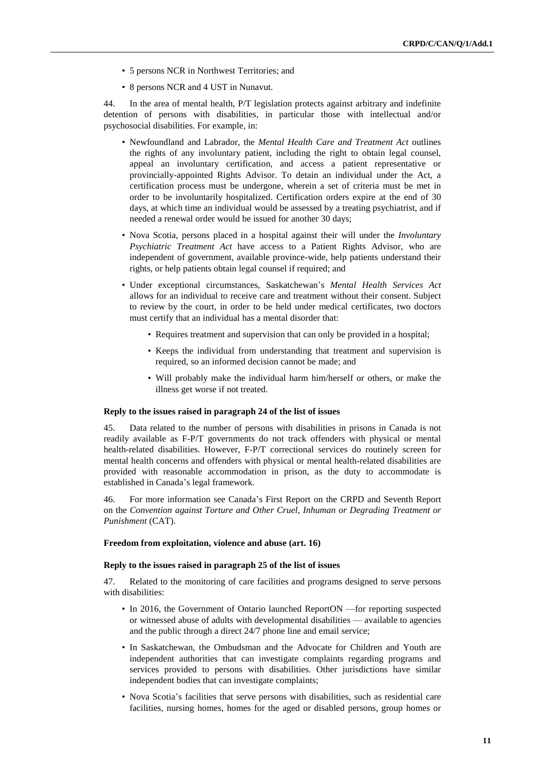- 5 persons NCR in Northwest Territories; and
- 8 persons NCR and 4 UST in Nunavut.

44. In the area of mental health, P/T legislation protects against arbitrary and indefinite detention of persons with disabilities, in particular those with intellectual and/or psychosocial disabilities. For example, in:

- Newfoundland and Labrador, the *Mental Health Care and Treatment Act* outlines the rights of any involuntary patient, including the right to obtain legal counsel, appeal an involuntary certification, and access a patient representative or provincially-appointed Rights Advisor. To detain an individual under the Act, a certification process must be undergone, wherein a set of criteria must be met in order to be involuntarily hospitalized. Certification orders expire at the end of 30 days, at which time an individual would be assessed by a treating psychiatrist, and if needed a renewal order would be issued for another 30 days;
- Nova Scotia, persons placed in a hospital against their will under the *Involuntary Psychiatric Treatment Act* have access to a Patient Rights Advisor, who are independent of government, available province-wide, help patients understand their rights, or help patients obtain legal counsel if required; and
- Under exceptional circumstances, Saskatchewan's *Mental Health Services Act* allows for an individual to receive care and treatment without their consent. Subject to review by the court, in order to be held under medical certificates, two doctors must certify that an individual has a mental disorder that:
	- Requires treatment and supervision that can only be provided in a hospital;
	- Keeps the individual from understanding that treatment and supervision is required, so an informed decision cannot be made; and
	- Will probably make the individual harm him/herself or others, or make the illness get worse if not treated.

#### **Reply to the issues raised in paragraph 24 of the list of issues**

45. Data related to the number of persons with disabilities in prisons in Canada is not readily available as F-P/T governments do not track offenders with physical or mental health-related disabilities. However, F-P/T correctional services do routinely screen for mental health concerns and offenders with physical or mental health-related disabilities are provided with reasonable accommodation in prison, as the duty to accommodate is established in Canada's legal framework.

46. For more information see Canada's First Report on the CRPD and Seventh Report on the *Convention against Torture and Other Cruel, Inhuman or Degrading Treatment or Punishment* (CAT).

#### **Freedom from exploitation, violence and abuse (art. 16)**

# **Reply to the issues raised in paragraph 25 of the list of issues**

47. Related to the monitoring of care facilities and programs designed to serve persons with disabilities:

- In 2016, the Government of Ontario launched ReportON —for reporting suspected or witnessed abuse of adults with developmental disabilities — available to agencies and the public through a direct 24/7 phone line and email service;
- In Saskatchewan, the Ombudsman and the Advocate for Children and Youth are independent authorities that can investigate complaints regarding programs and services provided to persons with disabilities. Other jurisdictions have similar independent bodies that can investigate complaints;
- Nova Scotia's facilities that serve persons with disabilities, such as residential care facilities, nursing homes, homes for the aged or disabled persons, group homes or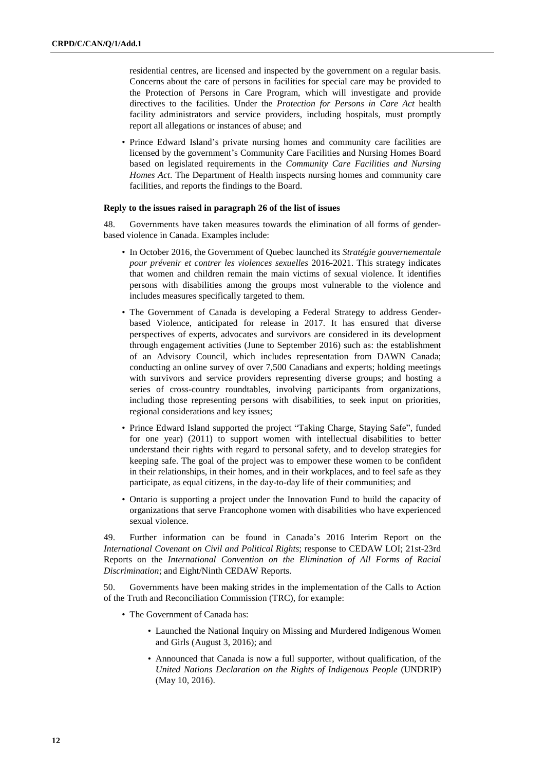residential centres, are licensed and inspected by the government on a regular basis. Concerns about the care of persons in facilities for special care may be provided to the Protection of Persons in Care Program, which will investigate and provide directives to the facilities. Under the *Protection for Persons in Care Act* health facility administrators and service providers, including hospitals, must promptly report all allegations or instances of abuse; and

• Prince Edward Island's private nursing homes and community care facilities are licensed by the government's Community Care Facilities and Nursing Homes Board based on legislated requirements in the *Community Care Facilities and Nursing Homes Act*. The Department of Health inspects nursing homes and community care facilities, and reports the findings to the Board.

#### **Reply to the issues raised in paragraph 26 of the list of issues**

48. Governments have taken measures towards the elimination of all forms of genderbased violence in Canada. Examples include:

- In October 2016, the Government of Quebec launched its *Stratégie gouvernementale pour prévenir et contrer les violences sexuelles* 2016-2021. This strategy indicates that women and children remain the main victims of sexual violence. It identifies persons with disabilities among the groups most vulnerable to the violence and includes measures specifically targeted to them.
- The Government of Canada is developing a Federal Strategy to address Genderbased Violence, anticipated for release in 2017. It has ensured that diverse perspectives of experts, advocates and survivors are considered in its development through engagement activities (June to September 2016) such as: the establishment of an Advisory Council, which includes representation from DAWN Canada; conducting an online survey of over 7,500 Canadians and experts; holding meetings with survivors and service providers representing diverse groups; and hosting a series of cross-country roundtables, involving participants from organizations, including those representing persons with disabilities, to seek input on priorities, regional considerations and key issues;
- Prince Edward Island supported the project "Taking Charge, Staying Safe", funded for one year) (2011) to support women with intellectual disabilities to better understand their rights with regard to personal safety, and to develop strategies for keeping safe. The goal of the project was to empower these women to be confident in their relationships, in their homes, and in their workplaces, and to feel safe as they participate, as equal citizens, in the day-to-day life of their communities; and
- Ontario is supporting a project under the Innovation Fund to build the capacity of organizations that serve Francophone women with disabilities who have experienced sexual violence.

49. Further information can be found in Canada's 2016 Interim Report on the *International Covenant on Civil and Political Rights*; response to CEDAW LOI; 21st-23rd Reports on the *International Convention on the Elimination of All Forms of Racial Discrimination*; and Eight/Ninth CEDAW Reports.

50. Governments have been making strides in the implementation of the Calls to Action of the Truth and Reconciliation Commission (TRC), for example:

- The Government of Canada has:
	- Launched the National Inquiry on Missing and Murdered Indigenous Women and Girls (August 3, 2016); and
	- Announced that Canada is now a full supporter, without qualification, of the *United Nations Declaration on the Rights of Indigenous People* (UNDRIP) (May 10, 2016).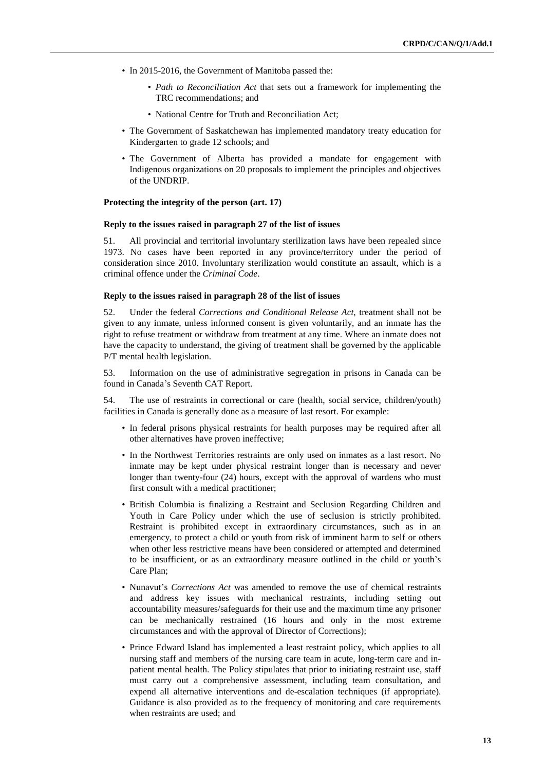- In 2015-2016, the Government of Manitoba passed the:
	- *Path to Reconciliation Act* that sets out a framework for implementing the TRC recommendations; and
	- National Centre for Truth and Reconciliation Act;
- The Government of Saskatchewan has implemented mandatory treaty education for Kindergarten to grade 12 schools; and
- The Government of Alberta has provided a mandate for engagement with Indigenous organizations on 20 proposals to implement the principles and objectives of the UNDRIP.

#### **Protecting the integrity of the person (art. 17)**

# **Reply to the issues raised in paragraph 27 of the list of issues**

51. All provincial and territorial involuntary sterilization laws have been repealed since 1973. No cases have been reported in any province/territory under the period of consideration since 2010. Involuntary sterilization would constitute an assault, which is a criminal offence under the *Criminal Code*.

# **Reply to the issues raised in paragraph 28 of the list of issues**

52. Under the federal *Corrections and Conditional Release Act*, treatment shall not be given to any inmate, unless informed consent is given voluntarily, and an inmate has the right to refuse treatment or withdraw from treatment at any time. Where an inmate does not have the capacity to understand, the giving of treatment shall be governed by the applicable P/T mental health legislation.

53. Information on the use of administrative segregation in prisons in Canada can be found in Canada's Seventh CAT Report.

54. The use of restraints in correctional or care (health, social service, children/youth) facilities in Canada is generally done as a measure of last resort. For example:

- In federal prisons physical restraints for health purposes may be required after all other alternatives have proven ineffective;
- In the Northwest Territories restraints are only used on inmates as a last resort. No inmate may be kept under physical restraint longer than is necessary and never longer than twenty-four (24) hours, except with the approval of wardens who must first consult with a medical practitioner;
- British Columbia is finalizing a Restraint and Seclusion Regarding Children and Youth in Care Policy under which the use of seclusion is strictly prohibited. Restraint is prohibited except in extraordinary circumstances, such as in an emergency, to protect a child or youth from risk of imminent harm to self or others when other less restrictive means have been considered or attempted and determined to be insufficient, or as an extraordinary measure outlined in the child or youth's Care Plan;
- Nunavut's *Corrections Act* was amended to remove the use of chemical restraints and address key issues with mechanical restraints, including setting out accountability measures/safeguards for their use and the maximum time any prisoner can be mechanically restrained (16 hours and only in the most extreme circumstances and with the approval of Director of Corrections);
- Prince Edward Island has implemented a least restraint policy, which applies to all nursing staff and members of the nursing care team in acute, long-term care and inpatient mental health. The Policy stipulates that prior to initiating restraint use, staff must carry out a comprehensive assessment, including team consultation, and expend all alternative interventions and de-escalation techniques (if appropriate). Guidance is also provided as to the frequency of monitoring and care requirements when restraints are used; and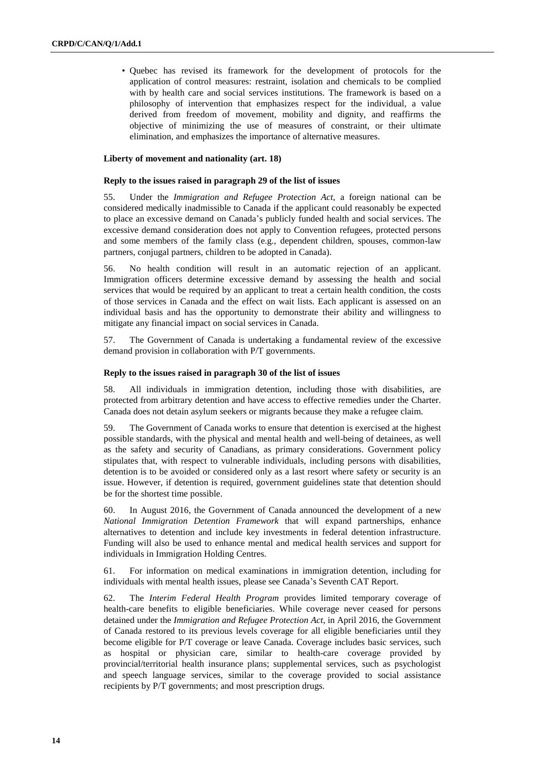• Quebec has revised its framework for the development of protocols for the application of control measures: restraint, isolation and chemicals to be complied with by health care and social services institutions. The framework is based on a philosophy of intervention that emphasizes respect for the individual, a value derived from freedom of movement, mobility and dignity, and reaffirms the objective of minimizing the use of measures of constraint, or their ultimate elimination, and emphasizes the importance of alternative measures.

#### **Liberty of movement and nationality (art. 18)**

# **Reply to the issues raised in paragraph 29 of the list of issues**

55. Under the *Immigration and Refugee Protection Act*, a foreign national can be considered medically inadmissible to Canada if the applicant could reasonably be expected to place an excessive demand on Canada's publicly funded health and social services. The excessive demand consideration does not apply to Convention refugees, protected persons and some members of the family class (e.g., dependent children, spouses, common-law partners, conjugal partners, children to be adopted in Canada).

56. No health condition will result in an automatic rejection of an applicant. Immigration officers determine excessive demand by assessing the health and social services that would be required by an applicant to treat a certain health condition, the costs of those services in Canada and the effect on wait lists. Each applicant is assessed on an individual basis and has the opportunity to demonstrate their ability and willingness to mitigate any financial impact on social services in Canada.

57. The Government of Canada is undertaking a fundamental review of the excessive demand provision in collaboration with P/T governments.

#### **Reply to the issues raised in paragraph 30 of the list of issues**

58. All individuals in immigration detention, including those with disabilities, are protected from arbitrary detention and have access to effective remedies under the Charter. Canada does not detain asylum seekers or migrants because they make a refugee claim.

59. The Government of Canada works to ensure that detention is exercised at the highest possible standards, with the physical and mental health and well-being of detainees, as well as the safety and security of Canadians, as primary considerations. Government policy stipulates that, with respect to vulnerable individuals, including persons with disabilities, detention is to be avoided or considered only as a last resort where safety or security is an issue. However, if detention is required, government guidelines state that detention should be for the shortest time possible.

60. In August 2016, the Government of Canada announced the development of a new *National Immigration Detention Framework* that will expand partnerships, enhance alternatives to detention and include key investments in federal detention infrastructure. Funding will also be used to enhance mental and medical health services and support for individuals in Immigration Holding Centres.

61. For information on medical examinations in immigration detention, including for individuals with mental health issues, please see Canada's Seventh CAT Report.

62. The *Interim Federal Health Program* provides limited temporary coverage of health-care benefits to eligible beneficiaries. While coverage never ceased for persons detained under the *Immigration and Refugee Protection Act*, in April 2016, the Government of Canada restored to its previous levels coverage for all eligible beneficiaries until they become eligible for P/T coverage or leave Canada. Coverage includes basic services, such as hospital or physician care, similar to health-care coverage provided by provincial/territorial health insurance plans; supplemental services, such as psychologist and speech language services, similar to the coverage provided to social assistance recipients by P/T governments; and most prescription drugs.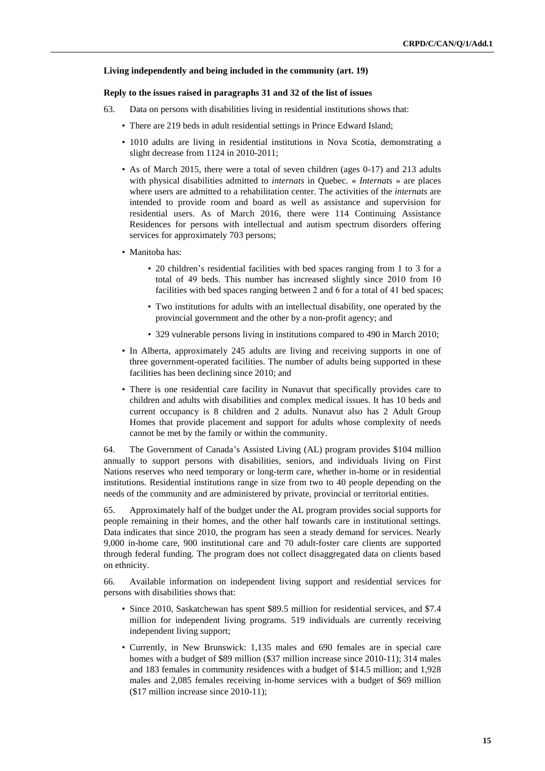#### **Living independently and being included in the community (art. 19)**

### **Reply to the issues raised in paragraphs 31 and 32 of the list of issues**

- 63. Data on persons with disabilities living in residential institutions shows that:
	- There are 219 beds in adult residential settings in Prince Edward Island;
	- 1010 adults are living in residential institutions in Nova Scotia, demonstrating a slight decrease from 1124 in 2010-2011;
	- As of March 2015, there were a total of seven children (ages 0-17) and 213 adults with physical disabilities admitted to *internats* in Quebec. « *Internats* » are places where users are admitted to a rehabilitation center. The activities of the *internats* are intended to provide room and board as well as assistance and supervision for residential users. As of March 2016, there were 114 Continuing Assistance Residences for persons with intellectual and autism spectrum disorders offering services for approximately 703 persons;
	- Manitoba has:
		- 20 children's residential facilities with bed spaces ranging from 1 to 3 for a total of 49 beds. This number has increased slightly since 2010 from 10 facilities with bed spaces ranging between 2 and 6 for a total of 41 bed spaces;
		- Two institutions for adults with an intellectual disability, one operated by the provincial government and the other by a non-profit agency; and
		- 329 vulnerable persons living in institutions compared to 490 in March 2010;
	- In Alberta, approximately 245 adults are living and receiving supports in one of three government-operated facilities. The number of adults being supported in these facilities has been declining since 2010; and
	- There is one residential care facility in Nunavut that specifically provides care to children and adults with disabilities and complex medical issues. It has 10 beds and current occupancy is 8 children and 2 adults. Nunavut also has 2 Adult Group Homes that provide placement and support for adults whose complexity of needs cannot be met by the family or within the community.

64. The Government of Canada's Assisted Living (AL) program provides \$104 million annually to support persons with disabilities, seniors, and individuals living on First Nations reserves who need temporary or long-term care, whether in-home or in residential institutions. Residential institutions range in size from two to 40 people depending on the needs of the community and are administered by private, provincial or territorial entities.

65. Approximately half of the budget under the AL program provides social supports for people remaining in their homes, and the other half towards care in institutional settings. Data indicates that since 2010, the program has seen a steady demand for services. Nearly 9,000 in-home care, 900 institutional care and 70 adult-foster care clients are supported through federal funding. The program does not collect disaggregated data on clients based on ethnicity.

66. Available information on independent living support and residential services for persons with disabilities shows that:

- Since 2010, Saskatchewan has spent \$89.5 million for residential services, and \$7.4 million for independent living programs. 519 individuals are currently receiving independent living support;
- Currently, in New Brunswick: 1,135 males and 690 females are in special care homes with a budget of \$89 million (\$37 million increase since 2010-11); 314 males and 183 females in community residences with a budget of \$14.5 million; and 1,928 males and 2,085 females receiving in-home services with a budget of \$69 million (\$17 million increase since 2010-11);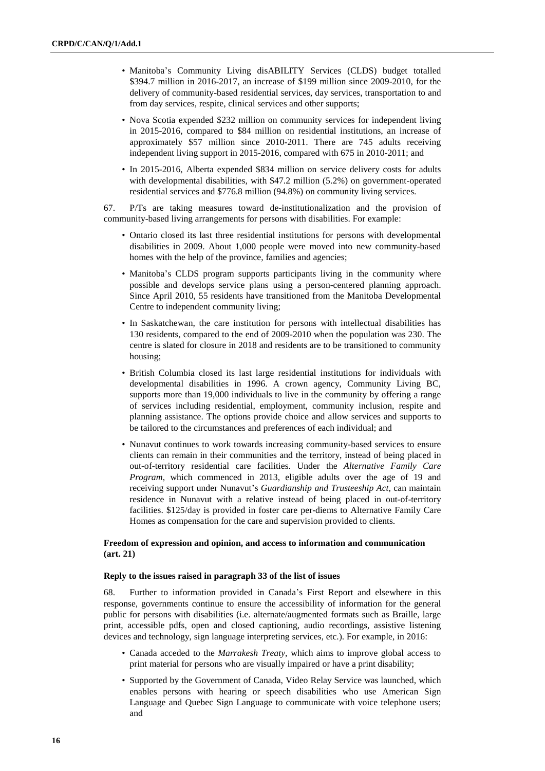- Manitoba's Community Living disABILITY Services (CLDS) budget totalled \$394.7 million in 2016-2017, an increase of \$199 million since 2009-2010, for the delivery of community-based residential services, day services, transportation to and from day services, respite, clinical services and other supports;
- Nova Scotia expended \$232 million on community services for independent living in 2015-2016, compared to \$84 million on residential institutions, an increase of approximately \$57 million since 2010-2011. There are 745 adults receiving independent living support in 2015-2016, compared with 675 in 2010-2011; and
- In 2015-2016, Alberta expended \$834 million on service delivery costs for adults with developmental disabilities, with \$47.2 million (5.2%) on government-operated residential services and \$776.8 million (94.8%) on community living services.

67. P/Ts are taking measures toward de-institutionalization and the provision of community-based living arrangements for persons with disabilities. For example:

- Ontario closed its last three residential institutions for persons with developmental disabilities in 2009. About 1,000 people were moved into new community-based homes with the help of the province, families and agencies;
- Manitoba's CLDS program supports participants living in the community where possible and develops service plans using a person-centered planning approach. Since April 2010, 55 residents have transitioned from the Manitoba Developmental Centre to independent community living;
- In Saskatchewan, the care institution for persons with intellectual disabilities has 130 residents, compared to the end of 2009-2010 when the population was 230. The centre is slated for closure in 2018 and residents are to be transitioned to community housing;
- British Columbia closed its last large residential institutions for individuals with developmental disabilities in 1996. A crown agency, Community Living BC, supports more than 19,000 individuals to live in the community by offering a range of services including residential, employment, community inclusion, respite and planning assistance. The options provide choice and allow services and supports to be tailored to the circumstances and preferences of each individual; and
- Nunavut continues to work towards increasing community-based services to ensure clients can remain in their communities and the territory, instead of being placed in out-of-territory residential care facilities. Under the *Alternative Family Care Program*, which commenced in 2013, eligible adults over the age of 19 and receiving support under Nunavut's *Guardianship and Trusteeship Act*, can maintain residence in Nunavut with a relative instead of being placed in out-of-territory facilities. \$125/day is provided in foster care per-diems to Alternative Family Care Homes as compensation for the care and supervision provided to clients.

# **Freedom of expression and opinion, and access to information and communication (art. 21)**

#### **Reply to the issues raised in paragraph 33 of the list of issues**

68. Further to information provided in Canada's First Report and elsewhere in this response, governments continue to ensure the accessibility of information for the general public for persons with disabilities (i.e. alternate/augmented formats such as Braille, large print, accessible pdfs, open and closed captioning, audio recordings, assistive listening devices and technology, sign language interpreting services, etc.). For example, in 2016:

- Canada acceded to the *Marrakesh Treaty*, which aims to improve global access to print material for persons who are visually impaired or have a print disability;
- Supported by the Government of Canada, Video Relay Service was launched, which enables persons with hearing or speech disabilities who use American Sign Language and Quebec Sign Language to communicate with voice telephone users; and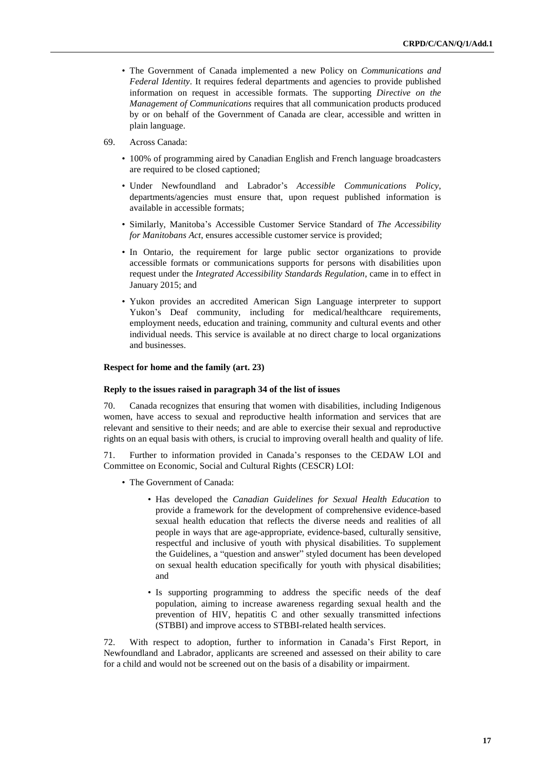- The Government of Canada implemented a new Policy on *Communications and Federal Identity*. It requires federal departments and agencies to provide published information on request in accessible formats. The supporting *Directive on the Management of Communications* requires that all communication products produced by or on behalf of the Government of Canada are clear, accessible and written in plain language.
- 69. Across Canada:
	- 100% of programming aired by Canadian English and French language broadcasters are required to be closed captioned;
	- Under Newfoundland and Labrador's *Accessible Communications Policy*, departments/agencies must ensure that, upon request published information is available in accessible formats;
	- Similarly, Manitoba's Accessible Customer Service Standard of *The Accessibility for Manitobans Act*, ensures accessible customer service is provided;
	- In Ontario, the requirement for large public sector organizations to provide accessible formats or communications supports for persons with disabilities upon request under the *Integrated Accessibility Standards Regulation*, came in to effect in January 2015; and
	- Yukon provides an accredited American Sign Language interpreter to support Yukon's Deaf community, including for medical/healthcare requirements, employment needs, education and training, community and cultural events and other individual needs. This service is available at no direct charge to local organizations and businesses.

#### **Respect for home and the family (art. 23)**

#### **Reply to the issues raised in paragraph 34 of the list of issues**

70. Canada recognizes that ensuring that women with disabilities, including Indigenous women, have access to sexual and reproductive health information and services that are relevant and sensitive to their needs; and are able to exercise their sexual and reproductive rights on an equal basis with others, is crucial to improving overall health and quality of life.

71. Further to information provided in Canada's responses to the CEDAW LOI and Committee on Economic, Social and Cultural Rights (CESCR) LOI:

- The Government of Canada:
	- Has developed the *Canadian Guidelines for Sexual Health Education* to provide a framework for the development of comprehensive evidence-based sexual health education that reflects the diverse needs and realities of all people in ways that are age-appropriate, evidence-based, culturally sensitive, respectful and inclusive of youth with physical disabilities. To supplement the Guidelines, a "question and answer" styled document has been developed on sexual health education specifically for youth with physical disabilities; and
	- Is supporting programming to address the specific needs of the deaf population, aiming to increase awareness regarding sexual health and the prevention of HIV, hepatitis C and other sexually transmitted infections (STBBI) and improve access to STBBI-related health services.

72. With respect to adoption, further to information in Canada's First Report, in Newfoundland and Labrador, applicants are screened and assessed on their ability to care for a child and would not be screened out on the basis of a disability or impairment.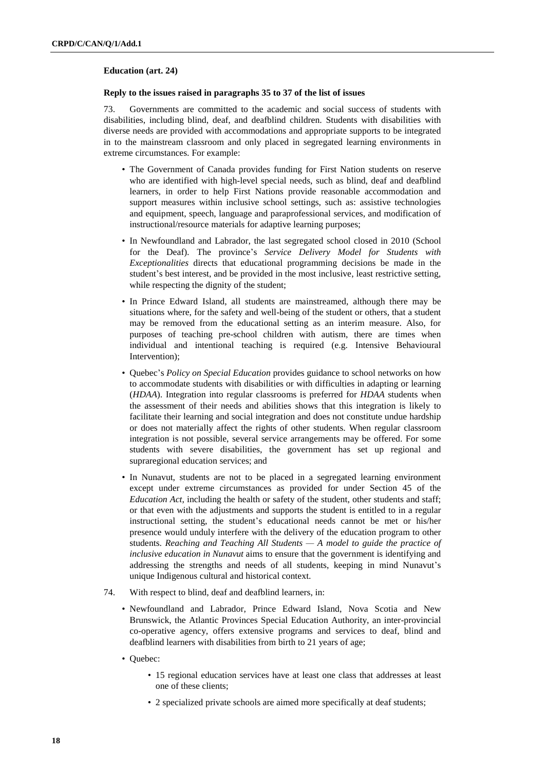#### **Education (art. 24)**

#### **Reply to the issues raised in paragraphs 35 to 37 of the list of issues**

73. Governments are committed to the academic and social success of students with disabilities, including blind, deaf, and deafblind children. Students with disabilities with diverse needs are provided with accommodations and appropriate supports to be integrated in to the mainstream classroom and only placed in segregated learning environments in extreme circumstances. For example:

- The Government of Canada provides funding for First Nation students on reserve who are identified with high-level special needs, such as blind, deaf and deafblind learners, in order to help First Nations provide reasonable accommodation and support measures within inclusive school settings, such as: assistive technologies and equipment, speech, language and paraprofessional services, and modification of instructional/resource materials for adaptive learning purposes;
- In Newfoundland and Labrador, the last segregated school closed in 2010 (School for the Deaf). The province's *Service Delivery Model for Students with Exceptionalities* directs that educational programming decisions be made in the student's best interest, and be provided in the most inclusive, least restrictive setting, while respecting the dignity of the student;
- In Prince Edward Island, all students are mainstreamed, although there may be situations where, for the safety and well-being of the student or others, that a student may be removed from the educational setting as an interim measure. Also, for purposes of teaching pre-school children with autism, there are times when individual and intentional teaching is required (e.g. Intensive Behavioural Intervention);
- Quebec's *Policy on Special Education* provides guidance to school networks on how to accommodate students with disabilities or with difficulties in adapting or learning (*HDAA*). Integration into regular classrooms is preferred for *HDAA* students when the assessment of their needs and abilities shows that this integration is likely to facilitate their learning and social integration and does not constitute undue hardship or does not materially affect the rights of other students. When regular classroom integration is not possible, several service arrangements may be offered. For some students with severe disabilities, the government has set up regional and supraregional education services; and
- In Nunavut, students are not to be placed in a segregated learning environment except under extreme circumstances as provided for under Section 45 of the *Education Act*, including the health or safety of the student, other students and staff; or that even with the adjustments and supports the student is entitled to in a regular instructional setting, the student's educational needs cannot be met or his/her presence would unduly interfere with the delivery of the education program to other students. *Reaching and Teaching All Students — A model to guide the practice of inclusive education in Nunavut* aims to ensure that the government is identifying and addressing the strengths and needs of all students, keeping in mind Nunavut's unique Indigenous cultural and historical context.
- 74. With respect to blind, deaf and deafblind learners, in:
	- Newfoundland and Labrador, Prince Edward Island, Nova Scotia and New Brunswick, the Atlantic Provinces Special Education Authority, an inter-provincial co-operative agency, offers extensive programs and services to deaf, blind and deafblind learners with disabilities from birth to 21 years of age;
	- Quebec:
		- 15 regional education services have at least one class that addresses at least one of these clients;
		- 2 specialized private schools are aimed more specifically at deaf students;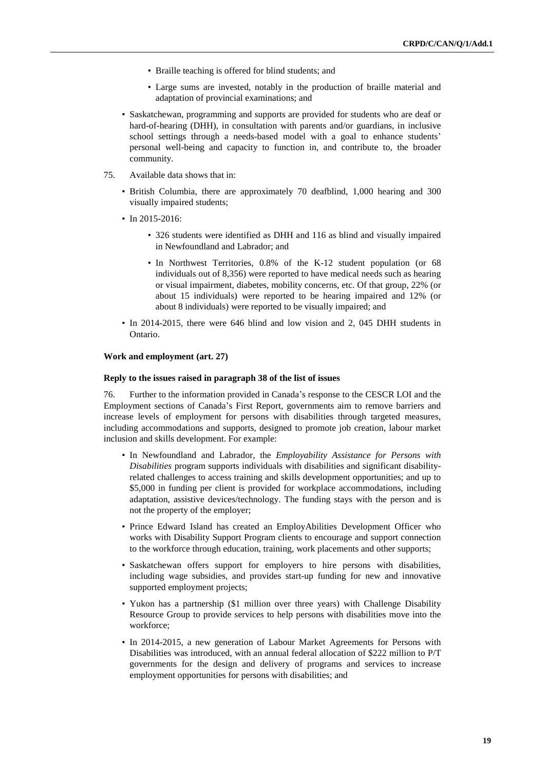- Braille teaching is offered for blind students; and
- Large sums are invested, notably in the production of braille material and adaptation of provincial examinations; and
- Saskatchewan, programming and supports are provided for students who are deaf or hard-of-hearing (DHH), in consultation with parents and/or guardians, in inclusive school settings through a needs-based model with a goal to enhance students' personal well-being and capacity to function in, and contribute to, the broader community.
- 75. Available data shows that in:
	- British Columbia, there are approximately 70 deafblind, 1,000 hearing and 300 visually impaired students;
	- In 2015-2016:
		- 326 students were identified as DHH and 116 as blind and visually impaired in Newfoundland and Labrador; and
		- In Northwest Territories, 0.8% of the K-12 student population (or 68 individuals out of 8,356) were reported to have medical needs such as hearing or visual impairment, diabetes, mobility concerns, etc. Of that group, 22% (or about 15 individuals) were reported to be hearing impaired and 12% (or about 8 individuals) were reported to be visually impaired; and
	- In 2014-2015, there were 646 blind and low vision and 2, 045 DHH students in Ontario.

## **Work and employment (art. 27)**

#### **Reply to the issues raised in paragraph 38 of the list of issues**

76. Further to the information provided in Canada's response to the CESCR LOI and the Employment sections of Canada's First Report, governments aim to remove barriers and increase levels of employment for persons with disabilities through targeted measures, including accommodations and supports, designed to promote job creation, labour market inclusion and skills development. For example:

- In Newfoundland and Labrador, the *Employability Assistance for Persons with Disabilities* program supports individuals with disabilities and significant disabilityrelated challenges to access training and skills development opportunities; and up to \$5,000 in funding per client is provided for workplace accommodations, including adaptation, assistive devices/technology. The funding stays with the person and is not the property of the employer;
- Prince Edward Island has created an EmployAbilities Development Officer who works with Disability Support Program clients to encourage and support connection to the workforce through education, training, work placements and other supports;
- Saskatchewan offers support for employers to hire persons with disabilities, including wage subsidies, and provides start-up funding for new and innovative supported employment projects;
- Yukon has a partnership (\$1 million over three years) with Challenge Disability Resource Group to provide services to help persons with disabilities move into the workforce;
- In 2014-2015, a new generation of Labour Market Agreements for Persons with Disabilities was introduced, with an annual federal allocation of \$222 million to P/T governments for the design and delivery of programs and services to increase employment opportunities for persons with disabilities; and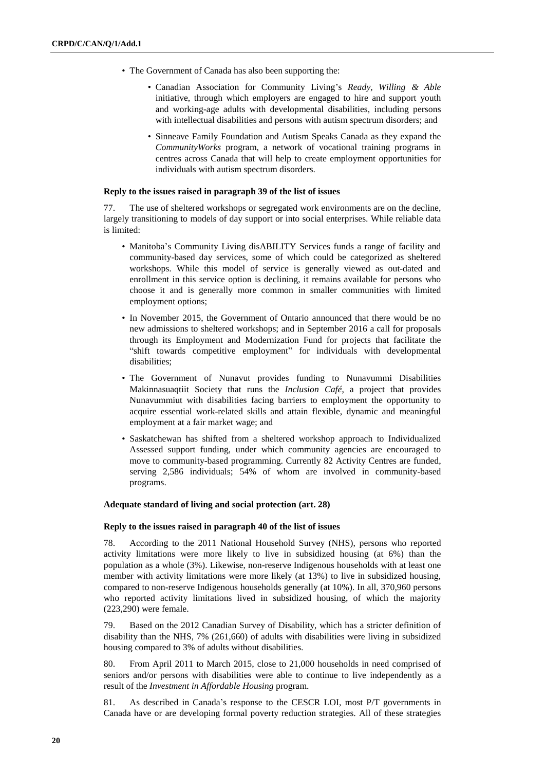- The Government of Canada has also been supporting the:
	- Canadian Association for Community Living's *Ready, Willing & Able* initiative, through which employers are engaged to hire and support youth and working-age adults with developmental disabilities, including persons with intellectual disabilities and persons with autism spectrum disorders; and
	- Sinneave Family Foundation and Autism Speaks Canada as they expand the *CommunityWorks* program, a network of vocational training programs in centres across Canada that will help to create employment opportunities for individuals with autism spectrum disorders.

#### **Reply to the issues raised in paragraph 39 of the list of issues**

77. The use of sheltered workshops or segregated work environments are on the decline, largely transitioning to models of day support or into social enterprises. While reliable data is limited:

- Manitoba's Community Living disABILITY Services funds a range of facility and community-based day services, some of which could be categorized as sheltered workshops. While this model of service is generally viewed as out-dated and enrollment in this service option is declining, it remains available for persons who choose it and is generally more common in smaller communities with limited employment options;
- In November 2015, the Government of Ontario announced that there would be no new admissions to sheltered workshops; and in September 2016 a call for proposals through its Employment and Modernization Fund for projects that facilitate the "shift towards competitive employment" for individuals with developmental disabilities;
- The Government of Nunavut provides funding to Nunavummi Disabilities Makinnasuaqtiit Society that runs the *Inclusion Café*, a project that provides Nunavummiut with disabilities facing barriers to employment the opportunity to acquire essential work-related skills and attain flexible, dynamic and meaningful employment at a fair market wage; and
- Saskatchewan has shifted from a sheltered workshop approach to Individualized Assessed support funding, under which community agencies are encouraged to move to community-based programming. Currently 82 Activity Centres are funded, serving 2,586 individuals; 54% of whom are involved in community-based programs.

# **Adequate standard of living and social protection (art. 28)**

#### **Reply to the issues raised in paragraph 40 of the list of issues**

78. According to the 2011 National Household Survey (NHS), persons who reported activity limitations were more likely to live in subsidized housing (at 6%) than the population as a whole (3%). Likewise, non-reserve Indigenous households with at least one member with activity limitations were more likely (at 13%) to live in subsidized housing, compared to non-reserve Indigenous households generally (at 10%). In all, 370,960 persons who reported activity limitations lived in subsidized housing, of which the majority (223,290) were female.

79. Based on the 2012 Canadian Survey of Disability, which has a stricter definition of disability than the NHS, 7% (261,660) of adults with disabilities were living in subsidized housing compared to 3% of adults without disabilities.

80. From April 2011 to March 2015, close to 21,000 households in need comprised of seniors and/or persons with disabilities were able to continue to live independently as a result of the *Investment in Affordable Housing* program.

81. As described in Canada's response to the CESCR LOI, most P/T governments in Canada have or are developing formal poverty reduction strategies. All of these strategies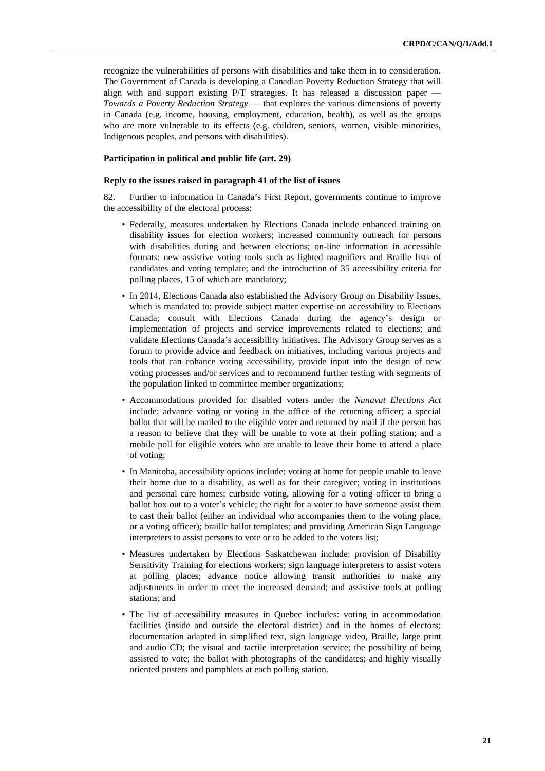recognize the vulnerabilities of persons with disabilities and take them in to consideration. The Government of Canada is developing a Canadian Poverty Reduction Strategy that will align with and support existing P/T strategies. It has released a discussion paper — *Towards a Poverty Reduction Strategy* — that explores the various dimensions of poverty in Canada (e.g. income, housing, employment, education, health), as well as the groups who are more vulnerable to its effects (e.g. children, seniors, women, visible minorities, Indigenous peoples, and persons with disabilities).

# **Participation in political and public life (art. 29)**

#### **Reply to the issues raised in paragraph 41 of the list of issues**

82. Further to information in Canada's First Report, governments continue to improve the accessibility of the electoral process:

- Federally, measures undertaken by Elections Canada include enhanced training on disability issues for election workers; increased community outreach for persons with disabilities during and between elections; on-line information in accessible formats; new assistive voting tools such as lighted magnifiers and Braille lists of candidates and voting template; and the introduction of 35 accessibility criteria for polling places, 15 of which are mandatory;
- In 2014, Elections Canada also established the Advisory Group on Disability Issues, which is mandated to: provide subject matter expertise on accessibility to Elections Canada; consult with Elections Canada during the agency's design or implementation of projects and service improvements related to elections; and validate Elections Canada's accessibility initiatives. The Advisory Group serves as a forum to provide advice and feedback on initiatives, including various projects and tools that can enhance voting accessibility, provide input into the design of new voting processes and/or services and to recommend further testing with segments of the population linked to committee member organizations;
- Accommodations provided for disabled voters under the *Nunavut Elections Act* include: advance voting or voting in the office of the returning officer; a special ballot that will be mailed to the eligible voter and returned by mail if the person has a reason to believe that they will be unable to vote at their polling station; and a mobile poll for eligible voters who are unable to leave their home to attend a place of voting;
- In Manitoba, accessibility options include: voting at home for people unable to leave their home due to a disability, as well as for their caregiver; voting in institutions and personal care homes; curbside voting, allowing for a voting officer to bring a ballot box out to a voter's vehicle; the right for a voter to have someone assist them to cast their ballot (either an individual who accompanies them to the voting place, or a voting officer); braille ballot templates; and providing American Sign Language interpreters to assist persons to vote or to be added to the voters list;
- Measures undertaken by Elections Saskatchewan include: provision of Disability Sensitivity Training for elections workers; sign language interpreters to assist voters at polling places; advance notice allowing transit authorities to make any adjustments in order to meet the increased demand; and assistive tools at polling stations; and
- The list of accessibility measures in Quebec includes: voting in accommodation facilities (inside and outside the electoral district) and in the homes of electors; documentation adapted in simplified text, sign language video, Braille, large print and audio CD; the visual and tactile interpretation service; the possibility of being assisted to vote; the ballot with photographs of the candidates; and highly visually oriented posters and pamphlets at each polling station.